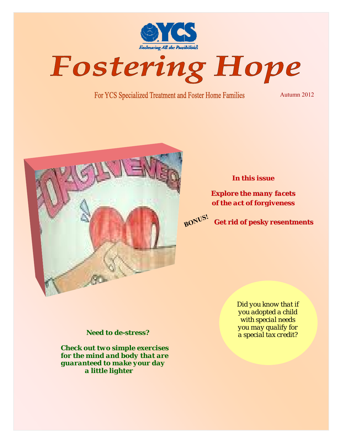

Fostering Hope

For YCS Specialized Treatment and Foster Home Families

Autumn 2012



## *In this issue*

*Explore the many facets Explore the many facets of the act of forgiveness of the act of forgiveness*



**Get rid of pesky resentments Get rid of pesky resentments**

#### *Need to de-stress?*

*Check out two simple exercises for the mind and body that are guaranteed to make your day a little lighter* 

*Did you know that if you adopted a child with special needs you may qualify for a special tax credit?*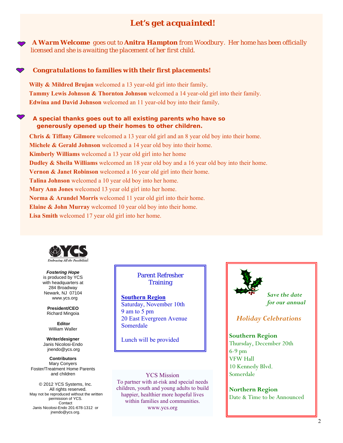# *Let's get acquainted!*

 *A Warm Welcome goes out to Anitra Hampton from Woodbury. Her home has been officially licensed and she is awaiting the placement of her first child.* 

#### *Congratulations to families with their first placements!*

**Willy & Mildred Brujan** welcomed a 13 year-old girl into their family. **Tammy Lewis Johnson & Thornton Johnson** welcomed a 14 year-old girl into their family. **Edwina and David Johnson** welcomed an 11 year-old boy into their family.

#### *A special thanks goes out to all existing parents who have so generously opened up their homes to other children.*

**Chris & Tiffany Gilmore** welcomed a 13 year old girl and an 8 year old boy into their home. **Michele & Gerald Johnson** welcomed a 14 year old boy into their home. **Kimberly Williams** welcomed a 13 year old girl into her home **Dudley & Sheila Williams** welcomed an 18 year old boy and a 16 year old boy into their home. **Vernon & Janet Robinson** welcomed a 16 year old girl into their home. **Talina Johnson** welcomed a 10 year old boy into her home. **Mary Ann Jones** welcomed 13 year old girl into her home. **Norma & Arundel Morris** welcomed 11 year old girl into their home. **Elaine & John Murray** welcomed 10 year old boy into their home. **Lisa Smith** welcomed 17 year old girl into her home.



 *Fostering Hope*  is produced by YCS with headquarters at 284 Broadway Newark, NJ 07104 www.ycs.org

> **President/CEO**  Richard Mingoia

 **Editor**  William Waller

**Writer/designer**  Janis Nicolosi-Endo jnendo@ycs.org

**Contributors**  Mary Conyers Foster/Treatment Home Parents and children

© 2012 YCS Systems, Inc. All rights reserved. May not be reproduced without the written permission of YCS. Contact Janis Nicolosi-Endo 201-678-1312 or jnendo@ycs.org.

Parent Refresher **Training** 

**Southern Region** Saturday, November 10th 9 am to 5 pm 20 East Evergreen Avenue Somerdale

Lunch will be provided

YCS Mission To partner with at-risk and special needs children, youth and young adults to build happier, healthier more hopeful lives within families and communities. www.ycs.org



*Save the date for our annual* 

 *Holiday Celebrations* 

#### **Southern Region**

Thursday, December 20th 6-9 pm VFW Hall 10 Kennedy Blvd. Somerdale

**Northern Region**  Date & Time to be Announced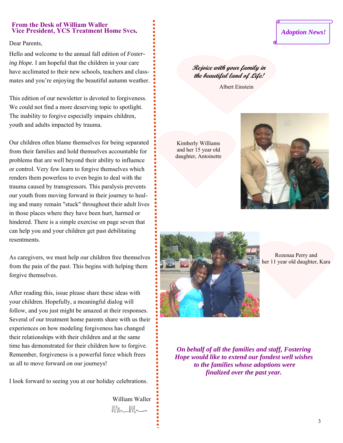#### **From the Desk of William Waller Vice President, YCS Treatment Home Svcs.**

Dear Parents,

Hello and welcome to the annual fall edition of *Fostering Hope.* I am hopeful that the children in your care have acclimated to their new schools, teachers and classmates and you're enjoying the beautiful autumn weather.

This edition of our newsletter is devoted to forgiveness. We could not find a more deserving topic to spotlight. The inability to forgive especially impairs children, youth and adults impacted by trauma.

Our children often blame themselves for being separated from their families and hold themselves accountable for problems that are well beyond their ability to influence or control. Very few learn to forgive themselves which renders them powerless to even begin to deal with the trauma caused by transgressors. This paralysis prevents our youth from moving forward in their journey to healing and many remain "stuck" throughout their adult lives in those places where they have been hurt, harmed or hindered. There is a simple exercise on page seven that can help you and your children get past debilitating resentments.

As caregivers, we must help our children free themselves from the pain of the past. This begins with helping them forgive themselves.

After reading this, issue please share these ideas with your children. Hopefully, a meaningful dialog will follow, and you just might be amazed at their responses. Several of our treatment home parents share with us their experiences on how modeling forgiveness has changed their relationships with their children and at the same time has demonstrated for their children how to forgive. Remember, forgiveness is a powerful force which frees us all to move forward on our journeys!

I look forward to seeing you at our holiday celebrations.

William Waller  $WW_{\sim}$ 

# *Adoption News!*

# **Rejoice with your family in the beautiful land of Life!**

Albert Einstein

Kimberly Williams and her 15 year old daughter, Antoinette





Rozenaa Perry and her 11 year old daughter, Kara

*On behalf of all the families and staff, Fostering Hope would like to extend our fondest well wishes to the families whose adoptions were finalized over the past year.*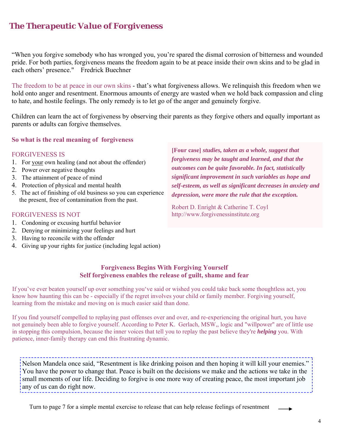# *The Therapeutic Value of Forgiveness*

"When you forgive somebody who has wronged you, you're spared the dismal corrosion of bitterness and wounded pride. For both parties, forgiveness means the freedom again to be at peace inside their own skins and to be glad in each others' presence." Fredrick Buechner

The freedom to be at peace in our own skins - that's what forgiveness allows. We relinquish this freedom when we hold onto anger and resentment. Enormous amounts of energy are wasted when we hold back compassion and cling to hate, and hostile feelings. The only remedy is to let go of the anger and genuinely forgive.

Children can learn the act of forgiveness by observing their parents as they forgive others and equally important as parents or adults can forgive themselves.

## **So what is the real meaning of forgiveness**

#### FORGIVENESS IS

- 1. For your own healing (and not about the offender)
- 2. Power over negative thoughts
- 3. The attainment of peace of mind
- 4. Protection of physical and mental health
- 5. The act of finishing of old business so you can experience the present, free of contamination from the past.

#### FORGIVENESS IS NOT

- 1. Condoning or excusing hurtful behavior
- 2. Denying or minimizing your feelings and hurt
- 3. Having to reconcile with the offender
- 4. Giving up your rights for justice (including legal action)

**[Four case]** *studies, taken as a whole, suggest that forgiveness may be taught and learned, and that the outcomes can be quite favorable. In fact, statistically significant improvement in such variables as hope and self-esteem, as well as significant decreases in anxiety and depression, were more the rule that the exception.* 

Robert D. Enright & Catherine T. Coyl http://www.forgivenessinstitute.org

## **Forgiveness Begins With Forgiving Yourself Self forgiveness enables the release of guilt, shame and fear**

If you've ever beaten yourself up over something you've said or wished you could take back some thoughtless act, you know how haunting this can be - especially if the regret involves your child or family member. Forgiving yourself, learning from the mistake and moving on is much easier said than done.

If you find yourself compelled to replaying past offenses over and over, and re-experiencing the original hurt, you have not genuinely been able to forgive yourself. According to Peter K. Gerlach, MSW,, logic and "willpower" are of little use in stopping this compulsion, because the inner voices that tell you to replay the past believe they're *helping* you. With patience, inner-family therapy can end this frustrating dynamic.

Nelson Mandela once said, "Resentment is like drinking poison and then hoping it will kill your enemies." You have the power to change that. Peace is built on the decisions we make and the actions we take in the small moments of our life. Deciding to forgive is one more way of creating peace, the most important job any of us can do right now. 

Turn to page 7 for a simple mental exercise to release that can help release feelings of resentment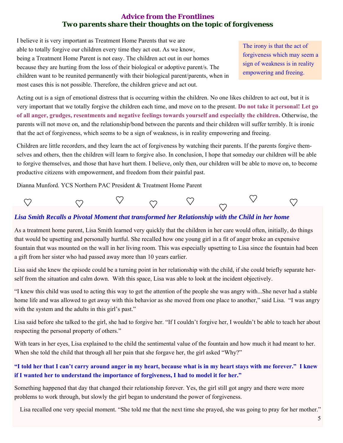## **Advice from the Frontlines**  *Two parents share their thoughts on the topic of forgiveness*

I believe it is very important as Treatment Home Parents that we are able to totally forgive our children every time they act out. As we know, being a Treatment Home Parent is not easy. The children act out in our homes because they are hurting from the loss of their biological or adoptive parent/s. The children want to be reunited permanently with their biological parent/parents, when in most cases this is not possible. Therefore, the children grieve and act out.

The irony is that the act of forgiveness which may seem a sign of weakness is in reality empowering and freeing.

Acting out is a sign of emotional distress that is occurring within the children. No one likes children to act out, but it is very important that we totally forgive the children each time, and move on to the present. **Do not take it personal! Let go of all anger, grudges, resentments and negative feelings towards yourself and especially the children.** Otherwise, the parents will not move on, and the relationship/bond between the parents and their children will suffer terribly. It is ironic that the act of forgiveness, which seems to be a sign of weakness, is in reality empowering and freeing.

Children are little recorders, and they learn the act of forgiveness by watching their parents. If the parents forgive themselves and others, then the children will learn to forgive also. In conclusion, I hope that someday our children will be able to forgive themselves, and those that have hurt them. I believe, only then, our children will be able to move on, to become productive citizens with empowerment, and freedom from their painful past.

Dianna Munford. YCS Northern PAC President & Treatment Home Parent



## *Lisa Smith Recalls a Pivotal Moment that transformed her Relationship with the Child in her home*

As a treatment home parent, Lisa Smith learned very quickly that the children in her care would often, initially, do things that would be upsetting and personally hurtful. She recalled how one young girl in a fit of anger broke an expensive fountain that was mounted on the wall in her living room. This was especially upsetting to Lisa since the fountain had been a gift from her sister who had passed away more than 10 years earlier.

Lisa said she knew the episode could be a turning point in her relationship with the child, if she could briefly separate herself from the situation and calm down. With this space, Lisa was able to look at the incident objectively.

"I knew this child was used to acting this way to get the attention of the people she was angry with...She never had a stable home life and was allowed to get away with this behavior as she moved from one place to another," said Lisa. "I was angry with the system and the adults in this girl's past."

Lisa said before she talked to the girl, she had to forgive her. "If I couldn't forgive her, I wouldn't be able to teach her about respecting the personal property of others."

With tears in her eyes, Lisa explained to the child the sentimental value of the fountain and how much it had meant to her. When she told the child that through all her pain that she forgave her, the girl asked "Why?"

## **"I told her that I can't carry around anger in my heart, because what is in my heart stays with me forever." I knew if I wanted her to understand the importance of forgiveness, I had to model it for her."**

Something happened that day that changed their relationship forever. Yes, the girl still got angry and there were more problems to work through, but slowly the girl began to understand the power of forgiveness.

Lisa recalled one very special moment. "She told me that the next time she prayed, she was going to pray for her mother."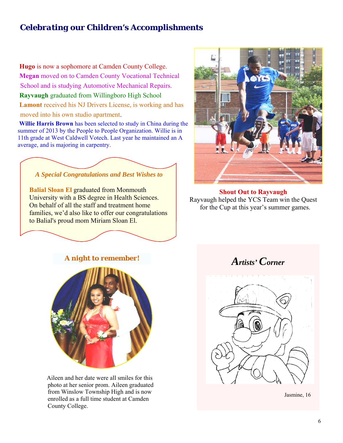# *Celebrating our Children's Accomplishments*

**Hugo** is now a sophomore at Camden County College. **Megan** moved on to Camden County Vocational Technical School and is studying Automotive Mechanical Repairs. **Rayvaugh** graduated from Willingboro High School **Lamont** received his NJ Drivers License, is working and has moved into his own studio apartment.

 **Willie Harris Brown** has been selected to study in China during the summer of 2013 by the People to People Organization. Willie is in 11th grade at West Caldwell Votech. Last year he maintained an A average, and is majoring in carpentry.



**Balial Sloan El** graduated from Monmouth University with a BS degree in Health Sciences. On behalf of all the staff and treatment home families, we'd also like to offer our congratulations to Balial's proud mom Miriam Sloan El.



**Shout Out to Rayvaugh**  Rayvaugh helped the YCS Team win the Quest for the Cup at this year's summer games.

# *Artists' Corner A night to remember!*



Aileen and her date were all smiles for this photo at her senior prom. Aileen graduated from Winslow Township High and is now enrolled as a full time student at Camden County College.



Jasmine, 16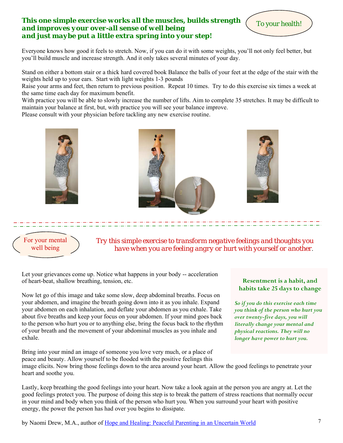#### *This one simple exercise works all the muscles, builds strength and improves your over-all sense of well being and just maybe put a little extra spring into your step!*

Everyone knows how good it feels to stretch. Now, if you can do it with some weights, you'll not only feel better, but you'll build muscle and increase strength. And it only takes several minutes of your day.

Stand on either a bottom stair or a thick hard covered book Balance the balls of your feet at the edge of the stair with the weights held up to your ears. Start with light weights 1-3 pounds

Raise your arms and feet, then return to previous position. Repeat 10 times. Try to do this exercise six times a week at the same time each day for maximum benefit.

With practice you will be able to slowly increase the number of lifts. Aim to complete 35 stretches. It may be difficult to maintain your balance at first, but, with practice you will see your balance improve.

Please consult with your physician before tackling any new exercise routine.



For your mental well being

*Try this simple exercise to transform negative feelings and thoughts you have when you are feeling angry or hurt with yourself or another*.

Let your grievances come up. Notice what happens in your body -- acceleration of heart-beat, shallow breathing, tension, etc.

Now let go of this image and take some slow, deep abdominal breaths. Focus on your abdomen, and imagine the breath going down into it as you inhale. Expand your abdomen on each inhalation, and deflate your abdomen as you exhale. Take about five breaths and keep your focus on your abdomen. If your mind goes back to the person who hurt you or to anything else, bring the focus back to the rhythm of your breath and the movement of your abdominal muscles as you inhale and exhale.

Bring into your mind an image of someone you love very much, or a place of peace and beauty. Allow yourself to be flooded with the positive feelings this

#### **Resentment is a habit, and habits take 25 days to change**

To your health!

*So if you do this exercise each time you think of the person who hurt you over twenty-five days, you will literally change your mental and physical reactions. They will no longer have power to hurt you.* 

image elicits. Now bring those feelings down to the area around your heart. Allow the good feelings to penetrate your heart and soothe you.

Lastly, keep breathing the good feelings into your heart. Now take a look again at the person you are angry at. Let the good feelings protect you. The purpose of doing this step is to break the pattern of stress reactions that normally occur in your mind and body when you think of the person who hurt you. When you surround your heart with positive energy, the power the person has had over you begins to dissipate.

by Naomi Drew, M.A., author of Hope and Healing: Peaceful Parenting in an Uncertain World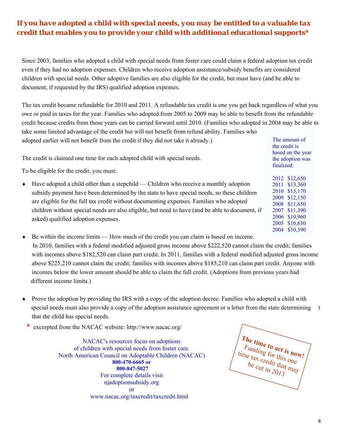# *If you have adopted a child with special needs, you may be entitled to a valuable tax credit that enables you to provide your child with additional educational supports\**

Since 2003, families who adopted a child with special needs from foster care could claim a federal adoption tax credit even if they had no adoption expenses. Children who receive adoption assistance/subsidy benefits are considered children with special needs. Other adoptive families are also eligible for the credit, but must have (and be able to document, if requested by the IRS) qualified adoption expenses.

The tax credit became refundable for 2010 and 2011. A refundable tax credit is one you get back regardless of what you owe or paid in taxes for the year. Families who adopted from 2005 to 2009 may be able to benefit from the refundable credit because credits from those years can be carried forward until 2010. (Families who adopted in 2004 may be able to take some limited advantage of the credit but will not benefit from refund ability. Families who

The credit is claimed one time for each adopted child with special needs.

adopted earlier will not benefit from the credit if they did not take it already.)

To be eligible for the credit, you must:

- Have adopted a child other than a stepchild Children who receive a monthly adoption subsidy payment have been determined by the state to have special needs, so these children are eligible for the full tax credit without documenting expenses. Families who adopted children without special needs are also eligible, but need to have (and be able to document, if asked) qualified adoption expenses.
- Be within the income limits How much of the credit you can claim is based on income. In 2010, families with a federal modified adjusted gross income above \$222,520 cannot claim the credit; families with incomes above \$182,520 can claim part credit. In 2011, families with a federal modified adjusted gross income above \$225,210 cannot claim the credit; families with incomes above \$185,210 can claim part credit. Anyone with incomes below the lower amount should be able to claim the full credit. (Adoptions from previous years had different income limits.)
- Prove the adoption by providing the IRS with a copy of the adoption decree. Families who adopted a child with special needs must also provide a copy of the adoption assistance agreement or a letter from the state determining t that the child has special needs.

**\*** excerpted from the NACAC website: http://www.nacac.org/

NACAC's resources focus on adoptions of children with special needs from foster care. North American Council on Adoptable Children (NACAC) **800-470-6665 or 800-847-5027** For complete details visit njadoptionsubsidy.org or www.nacac.org/taxcredit/taxcredit.html

**The time to act is now!**  Funding for this one time tax credit that  $m_{a}$ be cut in  $2013$ 

The amount of the credit is based on the year the adoption was finalized:

2012 \$12,650 2011 \$13,360 2010 \$13,170 2009 \$12,150 2008 \$11,650 2007 \$11,390 2006 \$10,960 2005 \$10,630 2004 \$10,390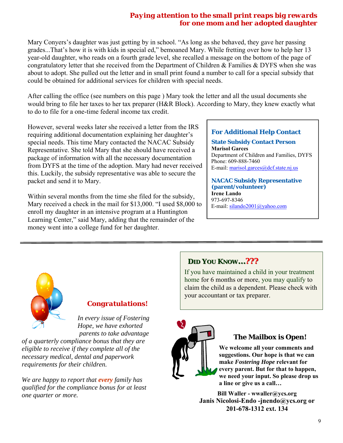## *Paying attention to the small print reaps big rewards for one mom and her adopted daughter*

Mary Conyers's daughter was just getting by in school. "As long as she behaved, they gave her passing grades...That's how it is with kids in special ed," bemoaned Mary. While fretting over how to help her 13 year-old daughter, who reads on a fourth grade level, she recalled a message on the bottom of the page of congratulatory letter that she received from the Department of Children & Families & DYFS when she was about to adopt. She pulled out the letter and in small print found a number to call for a special subsidy that could be obtained for additional services for children with special needs.

After calling the office (see numbers on this page ) Mary took the letter and all the usual documents she would bring to file her taxes to her tax preparer (H&R Block). According to Mary, they knew exactly what to do to file for a one-time federal income tax credit.

However, several weeks later she received a letter from the IRS requiring additional documentation explaining her daughter's special needs. This time Mary contacted the NACAC Subsidy Representative. She told Mary that she should have received a package of information with all the necessary documentation from DYFS at the time of the adoption. Mary had never received this. Luckily, the subsidy representative was able to secure the packet and send it to Mary.

Within several months from the time she filed for the subsidy, Mary received a check in the mail for \$13,000. "I used \$8,000 to enroll my daughter in an intensive program at a Huntington Learning Center," said Mary, adding that the remainder of the money went into a college fund for her daughter.

## **For Additional Help Contact**

**State Subsidy Contact Person Marisol Garces**  Department of Children and Families, DYFS Phone: 609-888-7460 E-mail: marisol.garces@dcf.state.nj.us

#### **NACAC Subsidy Representative (parent/volunteer) Irene Lando**

973-697-8346 E-mail: silando2001@yahoo.com



# *Congratulations!*

*In every issue of Fostering Hope, we have exhorted parents to take advantage* 

*of a quarterly compliance bonus that they are eligible to receive if they complete all of the necessary medical, dental and paperwork requirements for their children.* 

*We are happy to report that every family has qualified for the compliance bonus for at least one quarter or more.* 

# **DID YOU KNOW…???**

If you have maintained a child in your treatment home for 6 months or more, you may qualify to claim the child as a dependent. Please check with your accountant or tax preparer.



# **The Mailbox is Open!**

**We welcome all your comments and suggestions. Our hope is that we can make** *Fostering Hope* **relevant for every parent. But for that to happen, we need your input. So please drop us a line or give us a call…** 

**Bill Waller - wwaller@ycs.org Janis Nicolosi-Endo -jnendo@ycs.org or 201-678-1312 ext. 134**